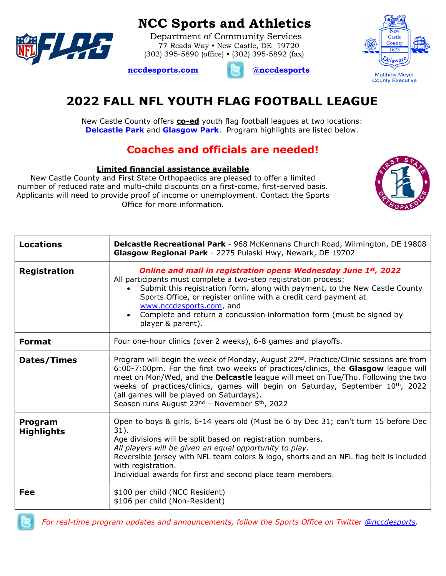

## NCC Sports and Athletics

 Department of Community Services 77 Reads Way • New Castle, DE 19720 (302) 395-5890 (office) • (302) 395-5892 (fax)





# 2022 FALL NFL YOUTH FLAG FOOTBALL LEAGUE

New Castle County offers **co-ed** youth flag football leagues at two locations: **Delcastle Park and Glasgow Park.** Program highlights are listed below.

### Coaches and officials are needed!

#### Limited financial assistance available

New Castle County and First State Orthopaedics are pleased to offer a limited number of reduced rate and multi-child discounts on a first-come, first-served basis. Applicants will need to provide proof of income or unemployment. Contact the Sports Office for more information.



| <b>Locations</b>             | Delcastle Recreational Park - 968 McKennans Church Road, Wilmington, DE 19808<br>Glasgow Regional Park - 2275 Pulaski Hwy, Newark, DE 19702                                                                                                                                                                                                                                                                                                                                                       |  |  |  |  |  |
|------------------------------|---------------------------------------------------------------------------------------------------------------------------------------------------------------------------------------------------------------------------------------------------------------------------------------------------------------------------------------------------------------------------------------------------------------------------------------------------------------------------------------------------|--|--|--|--|--|
| <b>Registration</b>          | Online and mail in registration opens Wednesday June 1st, 2022<br>All participants must complete a two-step registration process:<br>Submit this registration form, along with payment, to the New Castle County<br>Sports Office, or register online with a credit card payment at<br>www.nccdesports.com, and<br>Complete and return a concussion information form (must be signed by<br>$\bullet$<br>player & parent).                                                                         |  |  |  |  |  |
| <b>Format</b>                | Four one-hour clinics (over 2 weeks), 6-8 games and playoffs.                                                                                                                                                                                                                                                                                                                                                                                                                                     |  |  |  |  |  |
| Dates/Times                  | Program will begin the week of Monday, August 22 <sup>nd</sup> . Practice/Clinic sessions are from<br>6:00-7:00pm. For the first two weeks of practices/clinics, the Glasgow league will<br>meet on Mon/Wed, and the Delcastle league will meet on Tue/Thu. Following the two<br>weeks of practices/clinics, games will begin on Saturday, September 10 <sup>th</sup> , 2022<br>(all games will be played on Saturdays).<br>Season runs August 22 <sup>nd</sup> - November 5 <sup>th</sup> , 2022 |  |  |  |  |  |
| Program<br><b>Highlights</b> | Open to boys & girls, 6-14 years old (Must be 6 by Dec 31; can't turn 15 before Dec<br>$31$ ).<br>Age divisions will be split based on registration numbers.<br>All players will be given an equal opportunity to play.<br>Reversible jersey with NFL team colors & logo, shorts and an NFL flag belt is included<br>with registration.<br>Individual awards for first and second place team members.                                                                                             |  |  |  |  |  |
| Fee                          | \$100 per child (NCC Resident)<br>\$106 per child (Non-Resident)                                                                                                                                                                                                                                                                                                                                                                                                                                  |  |  |  |  |  |



For real-time program updates and announcements, follow the Sports Office on Twitter @nccdesports.